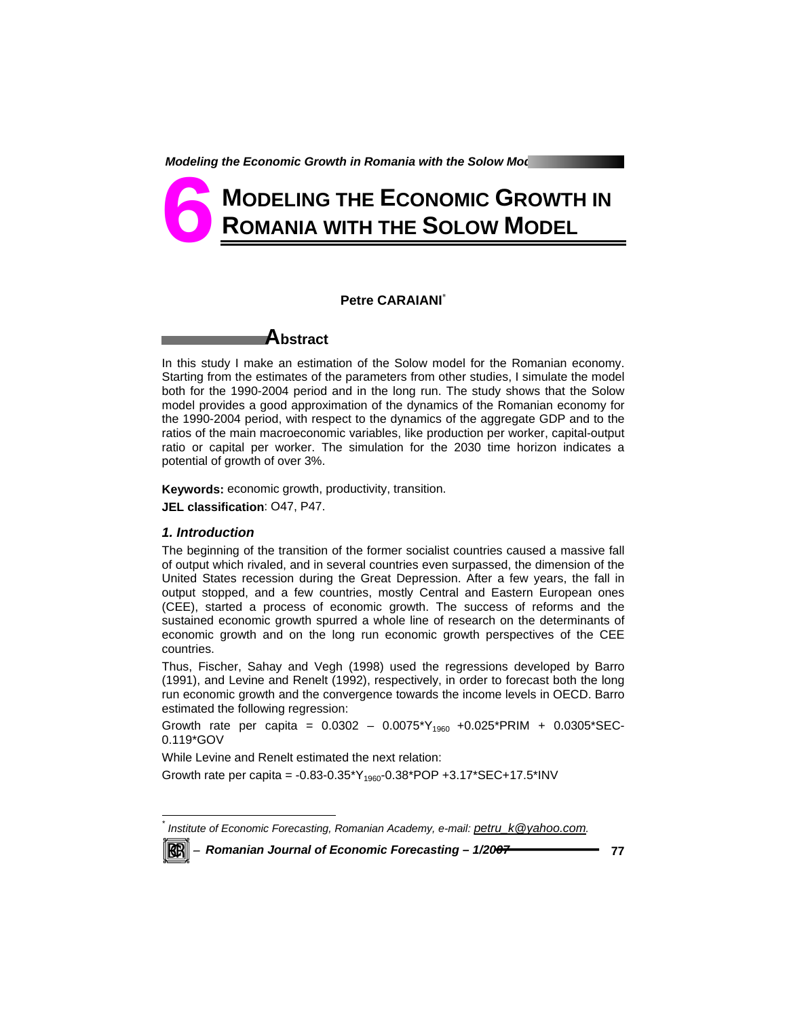# **MODELING THE ECONOMIC GROWTH IN ROMANIA WITH THE SOLOW MODEL 6**

# **Petre CARAIANI**\*



In this study I make an estimation of the Solow model for the Romanian economy. Starting from the estimates of the parameters from other studies, I simulate the model both for the 1990-2004 period and in the long run. The study shows that the Solow model provides a good approximation of the dynamics of the Romanian economy for the 1990-2004 period, with respect to the dynamics of the aggregate GDP and to the ratios of the main macroeconomic variables, like production per worker, capital-output ratio or capital per worker. The simulation for the 2030 time horizon indicates a potential of growth of over 3%.

**Keywords:** economic growth, productivity, transition.

**JEL classification**: O47, P47.

### *1. Introduction*

The beginning of the transition of the former socialist countries caused a massive fall of output which rivaled, and in several countries even surpassed, the dimension of the United States recession during the Great Depression. After a few years, the fall in output stopped, and a few countries, mostly Central and Eastern European ones (CEE), started a process of economic growth. The success of reforms and the sustained economic growth spurred a whole line of research on the determinants of economic growth and on the long run economic growth perspectives of the CEE countries.

Thus, Fischer, Sahay and Vegh (1998) used the regressions developed by Barro (1991), and Levine and Renelt (1992), respectively, in order to forecast both the long run economic growth and the convergence towards the income levels in OECD. Barro estimated the following regression:

Growth rate per capita =  $0.0302 - 0.0075*Y_{1960} + 0.025*PRIM + 0.0305*SEC-$ 0.119\*GOV

While Levine and Renelt estimated the next relation:

Growth rate per capita = -0.83-0.35\*Y<sub>1960</sub>-0.38\*POP +3.17\*SEC+17.5\*INV

*Institute of Economic Forecasting, Romanian Academy, e-mail: petru\_k@yahoo.com.* 



 $\overline{a}$ *\**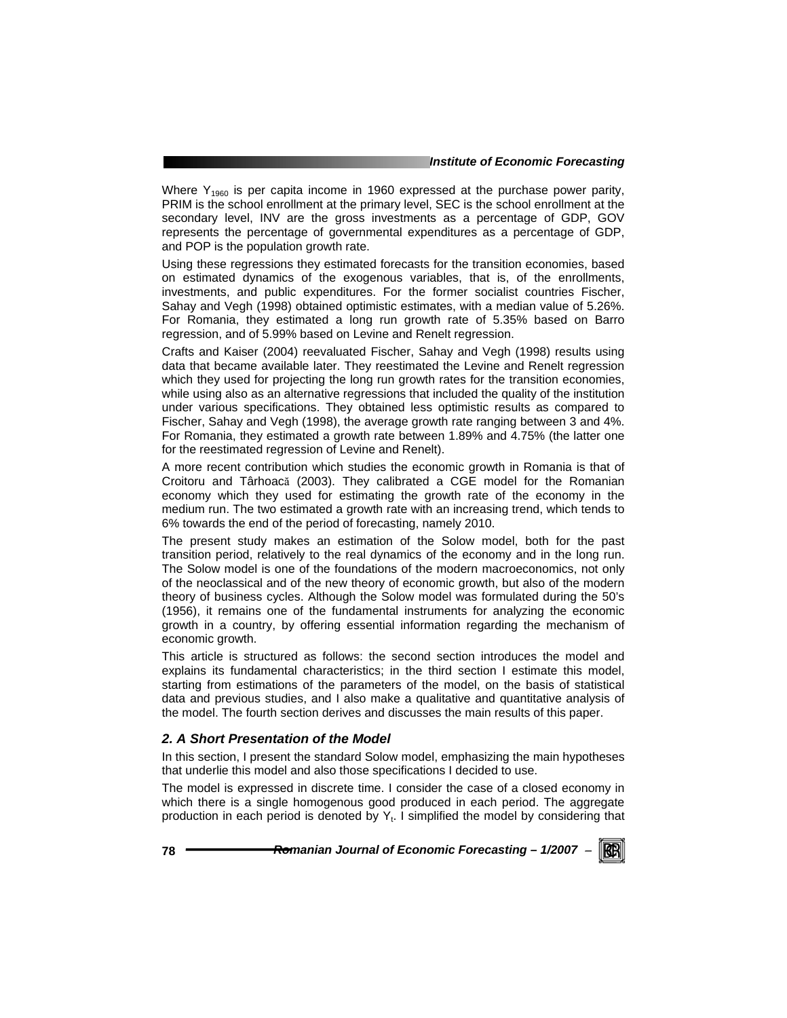Where  $Y_{1960}$  is per capita income in 1960 expressed at the purchase power parity, PRIM is the school enrollment at the primary level, SEC is the school enrollment at the secondary level, INV are the gross investments as a percentage of GDP, GOV represents the percentage of governmental expenditures as a percentage of GDP, and POP is the population growth rate.

Using these regressions they estimated forecasts for the transition economies, based on estimated dynamics of the exogenous variables, that is, of the enrollments, investments, and public expenditures. For the former socialist countries Fischer, Sahay and Vegh (1998) obtained optimistic estimates, with a median value of 5.26%. For Romania, they estimated a long run growth rate of 5.35% based on Barro regression, and of 5.99% based on Levine and Renelt regression.

Crafts and Kaiser (2004) reevaluated Fischer, Sahay and Vegh (1998) results using data that became available later. They reestimated the Levine and Renelt regression which they used for projecting the long run growth rates for the transition economies, while using also as an alternative regressions that included the quality of the institution under various specifications. They obtained less optimistic results as compared to Fischer, Sahay and Vegh (1998), the average growth rate ranging between 3 and 4%. For Romania, they estimated a growth rate between 1.89% and 4.75% (the latter one for the reestimated regression of Levine and Renelt).

A more recent contribution which studies the economic growth in Romania is that of Croitoru and Târhoacă (2003). They calibrated a CGE model for the Romanian economy which they used for estimating the growth rate of the economy in the medium run. The two estimated a growth rate with an increasing trend, which tends to 6% towards the end of the period of forecasting, namely 2010.

The present study makes an estimation of the Solow model, both for the past transition period, relatively to the real dynamics of the economy and in the long run. The Solow model is one of the foundations of the modern macroeconomics, not only of the neoclassical and of the new theory of economic growth, but also of the modern theory of business cycles. Although the Solow model was formulated during the 50's (1956), it remains one of the fundamental instruments for analyzing the economic growth in a country, by offering essential information regarding the mechanism of economic growth.

This article is structured as follows: the second section introduces the model and explains its fundamental characteristics; in the third section I estimate this model, starting from estimations of the parameters of the model, on the basis of statistical data and previous studies, and I also make a qualitative and quantitative analysis of the model. The fourth section derives and discusses the main results of this paper.

# *2. A Short Presentation of the Model*

In this section, I present the standard Solow model, emphasizing the main hypotheses that underlie this model and also those specifications I decided to use.

The model is expressed in discrete time. I consider the case of a closed economy in which there is a single homogenous good produced in each period. The aggregate production in each period is denoted by  $Y_t$ . I simplified the model by considering that

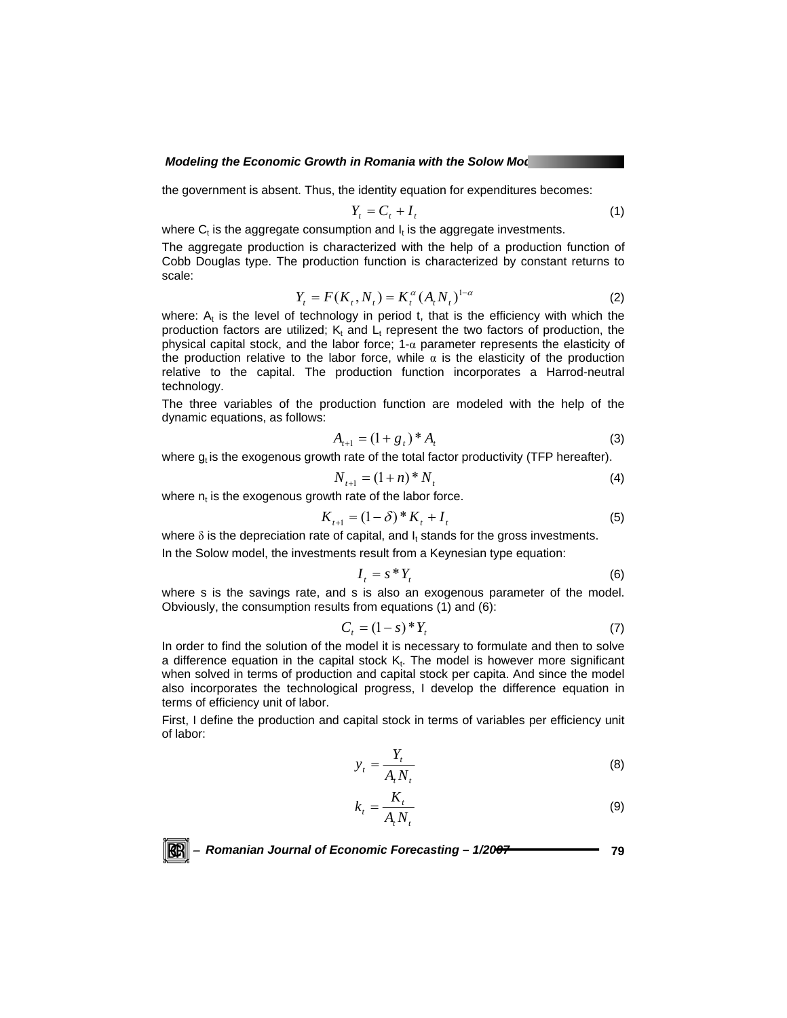the government is absent. Thus, the identity equation for expenditures becomes:

$$
Y_t = C_t + I_t \tag{1}
$$

where  $C_t$  is the aggregate consumption and  $I_t$  is the aggregate investments.

The aggregate production is characterized with the help of a production function of Cobb Douglas type. The production function is characterized by constant returns to scale:

$$
Y_t = F(K_t, N_t) = K_t^{\alpha} (A_t N_t)^{1-\alpha}
$$
 (2)

where:  $A_t$  is the level of technology in period t, that is the efficiency with which the production factors are utilized;  $K_t$  and  $L_t$  represent the two factors of production, the physical capital stock, and the labor force;  $1-\alpha$  parameter represents the elasticity of the production relative to the labor force, while  $\alpha$  is the elasticity of the production relative to the capital. The production function incorporates a Harrod-neutral technology.

The three variables of the production function are modeled with the help of the dynamic equations, as follows:

$$
A_{t+1} = (1 + g_t)^* A_t \tag{3}
$$

where  $g_t$  is the exogenous growth rate of the total factor productivity (TFP hereafter).

$$
N_{t+1} = (1+n)^* N_t \tag{4}
$$

where  $n_t$  is the exogenous growth rate of the labor force.

$$
K_{t+1} = (1 - \delta)^* K_t + I_t \tag{5}
$$

where  $\delta$  is the depreciation rate of capital, and  $I_t$  stands for the gross investments.

In the Solow model, the investments result from a Keynesian type equation:

$$
I_t = s * Y_t \tag{6}
$$

where s is the savings rate, and s is also an exogenous parameter of the model. Obviously, the consumption results from equations (1) and (6):

$$
C_t = (1 - s)^* Y_t \tag{7}
$$

In order to find the solution of the model it is necessary to formulate and then to solve a difference equation in the capital stock  $K_t$ . The model is however more significant when solved in terms of production and capital stock per capita. And since the model also incorporates the technological progress, I develop the difference equation in terms of efficiency unit of labor.

First, I define the production and capital stock in terms of variables per efficiency unit of labor:

$$
y_t = \frac{Y_t}{A_t N_t} \tag{8}
$$

$$
k_t = \frac{K_t}{A_t N_t} \tag{9}
$$

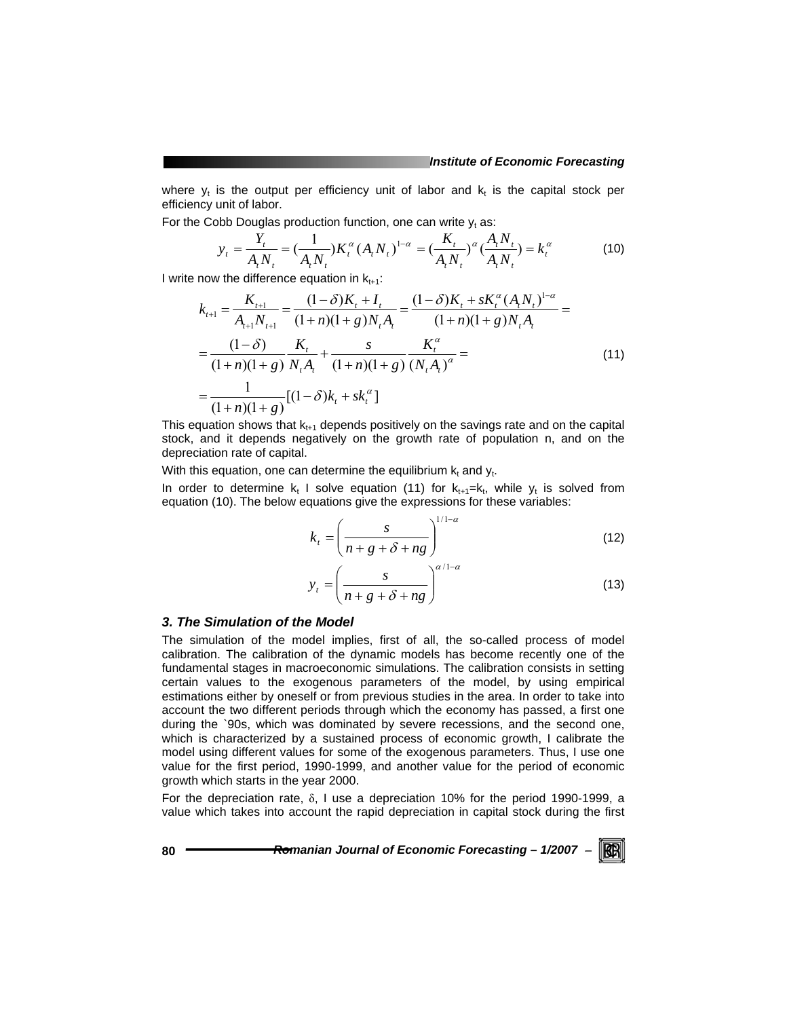where  $y_t$  is the output per efficiency unit of labor and  $k_t$  is the capital stock per efficiency unit of labor.

For the Cobb Douglas production function, one can write  $y_t$  as:

$$
y_t = \frac{Y_t}{A_t N_t} = \left(\frac{1}{A_t N_t}\right) K_t^{\alpha} (A_t N_t)^{1-\alpha} = \left(\frac{K_t}{A_t N_t}\right)^{\alpha} \left(\frac{A_t N_t}{A_t N_t}\right) = k_t^{\alpha} \tag{10}
$$

I write now the difference equation in  $k_{t+1}$ :

$$
k_{t+1} = \frac{K_{t+1}}{A_{t+1}N_{t+1}} = \frac{(1-\delta)K_t + I_t}{(1+n)(1+g)N_tA_t} = \frac{(1-\delta)K_t + sK_t^{\alpha}(A_tN_t)^{1-\alpha}}{(1+n)(1+g)N_tA_t} =
$$
  
= 
$$
\frac{(1-\delta)}{(1+n)(1+g)} \frac{K_t}{N_tA_t} + \frac{s}{(1+n)(1+g)} \frac{K_t^{\alpha}}{(N_tA_t)^{\alpha}} =
$$
  
= 
$$
\frac{1}{(1+n)(1+g)}[(1-\delta)k_t + sk_t^{\alpha}]
$$
(11)

This equation shows that  $k_{t+1}$  depends positively on the savings rate and on the capital stock, and it depends negatively on the growth rate of population n, and on the depreciation rate of capital.

With this equation, one can determine the equilibrium  $k_t$  and  $y_t$ .

In order to determine  $k_t$  I solve equation (11) for  $k_{t+1}=k_t$ , while  $y_t$  is solved from equation (10). The below equations give the expressions for these variables:

$$
k_t = \left(\frac{s}{n+g+\delta+ng}\right)^{1/1-\alpha} \tag{12}
$$

$$
y_t = \left(\frac{s}{n+g+\delta+ng}\right)^{\alpha/1-\alpha} \tag{13}
$$

## *3. The Simulation of the Model*

The simulation of the model implies, first of all, the so-called process of model calibration. The calibration of the dynamic models has become recently one of the fundamental stages in macroeconomic simulations. The calibration consists in setting certain values to the exogenous parameters of the model, by using empirical estimations either by oneself or from previous studies in the area. In order to take into account the two different periods through which the economy has passed, a first one during the `90s, which was dominated by severe recessions, and the second one, which is characterized by a sustained process of economic growth, I calibrate the model using different values for some of the exogenous parameters. Thus, I use one value for the first period, 1990-1999, and another value for the period of economic growth which starts in the year 2000.

For the depreciation rate, δ, I use a depreciation 10% for the period 1990-1999, a value which takes into account the rapid depreciation in capital stock during the first

80 *Promanian Journal of Economic Forecasting – 1/2007* **− <b>***RE*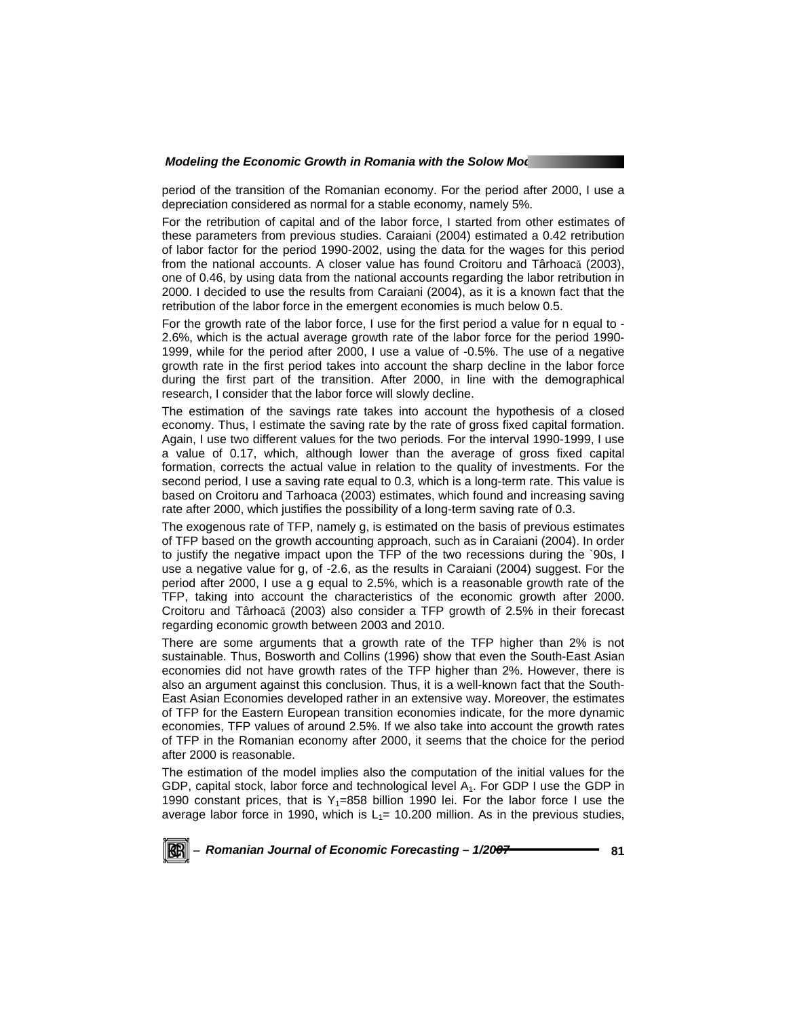period of the transition of the Romanian economy. For the period after 2000, I use a depreciation considered as normal for a stable economy, namely 5%.

For the retribution of capital and of the labor force, I started from other estimates of these parameters from previous studies. Caraiani (2004) estimated a 0.42 retribution of labor factor for the period 1990-2002, using the data for the wages for this period from the national accounts. A closer value has found Croitoru and Târhoacă (2003), one of 0.46, by using data from the national accounts regarding the labor retribution in 2000. I decided to use the results from Caraiani (2004), as it is a known fact that the retribution of the labor force in the emergent economies is much below 0.5.

For the growth rate of the labor force, I use for the first period a value for n equal to - 2.6%, which is the actual average growth rate of the labor force for the period 1990- 1999, while for the period after 2000, I use a value of -0.5%. The use of a negative growth rate in the first period takes into account the sharp decline in the labor force during the first part of the transition. After 2000, in line with the demographical research, I consider that the labor force will slowly decline.

The estimation of the savings rate takes into account the hypothesis of a closed economy. Thus, I estimate the saving rate by the rate of gross fixed capital formation. Again, I use two different values for the two periods. For the interval 1990-1999, I use a value of 0.17, which, although lower than the average of gross fixed capital formation, corrects the actual value in relation to the quality of investments. For the second period, I use a saving rate equal to 0.3, which is a long-term rate. This value is based on Croitoru and Tarhoaca (2003) estimates, which found and increasing saving rate after 2000, which justifies the possibility of a long-term saving rate of 0.3.

The exogenous rate of TFP, namely g, is estimated on the basis of previous estimates of TFP based on the growth accounting approach, such as in Caraiani (2004). In order to justify the negative impact upon the TFP of the two recessions during the `90s, I use a negative value for g, of -2.6, as the results in Caraiani (2004) suggest. For the period after 2000, I use a g equal to 2.5%, which is a reasonable growth rate of the TFP, taking into account the characteristics of the economic growth after 2000. Croitoru and Târhoacă (2003) also consider a TFP growth of 2.5% in their forecast regarding economic growth between 2003 and 2010.

There are some arguments that a growth rate of the TFP higher than 2% is not sustainable. Thus, Bosworth and Collins (1996) show that even the South-East Asian economies did not have growth rates of the TFP higher than 2%. However, there is also an argument against this conclusion. Thus, it is a well-known fact that the South-East Asian Economies developed rather in an extensive way. Moreover, the estimates of TFP for the Eastern European transition economies indicate, for the more dynamic economies, TFP values of around 2.5%. If we also take into account the growth rates of TFP in the Romanian economy after 2000, it seems that the choice for the period after 2000 is reasonable.

The estimation of the model implies also the computation of the initial values for the GDP, capital stock, labor force and technological level  $A_1$ . For GDP I use the GDP in 1990 constant prices, that is  $Y_1=858$  billion 1990 lei. For the labor force I use the average labor force in 1990, which is  $L_1$ = 10.200 million. As in the previous studies,

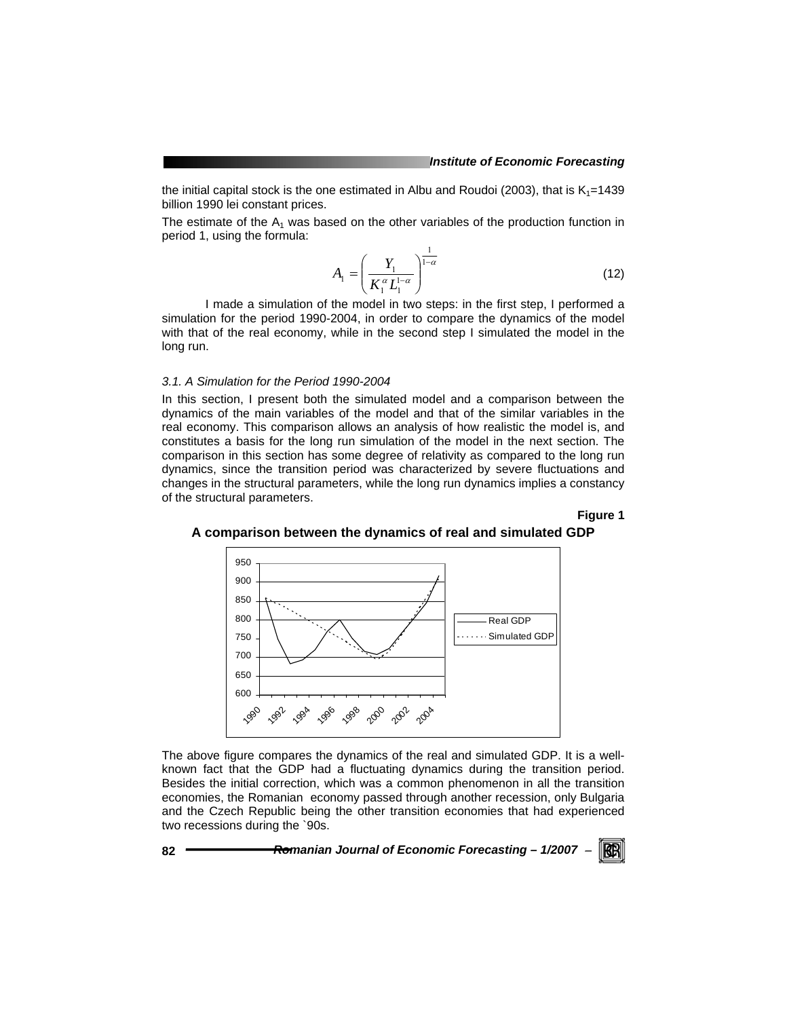the initial capital stock is the one estimated in Albu and Roudoi (2003), that is  $K_1=1439$ billion 1990 lei constant prices.

The estimate of the  $A_1$  was based on the other variables of the production function in period 1, using the formula:

$$
A_1 = \left(\frac{Y_1}{K_1^{\alpha} L_1^{1-\alpha}}\right)^{\frac{1}{1-\alpha}}
$$
 (12)

 I made a simulation of the model in two steps: in the first step, I performed a simulation for the period 1990-2004, in order to compare the dynamics of the model with that of the real economy, while in the second step I simulated the model in the long run.

# *3.1. A Simulation for the Period 1990-2004*

In this section, I present both the simulated model and a comparison between the dynamics of the main variables of the model and that of the similar variables in the real economy. This comparison allows an analysis of how realistic the model is, and constitutes a basis for the long run simulation of the model in the next section. The comparison in this section has some degree of relativity as compared to the long run dynamics, since the transition period was characterized by severe fluctuations and changes in the structural parameters, while the long run dynamics implies a constancy of the structural parameters.

# **Figure 1**



#### **A comparison between the dynamics of real and simulated GDP**

The above figure compares the dynamics of the real and simulated GDP. It is a wellknown fact that the GDP had a fluctuating dynamics during the transition period. Besides the initial correction, which was a common phenomenon in all the transition economies, the Romanian economy passed through another recession, only Bulgaria and the Czech Republic being the other transition economies that had experienced two recessions during the `90s.

**82** *Romanian Journal of Economic Forecasting – 1/2007* <sup>−</sup>

KB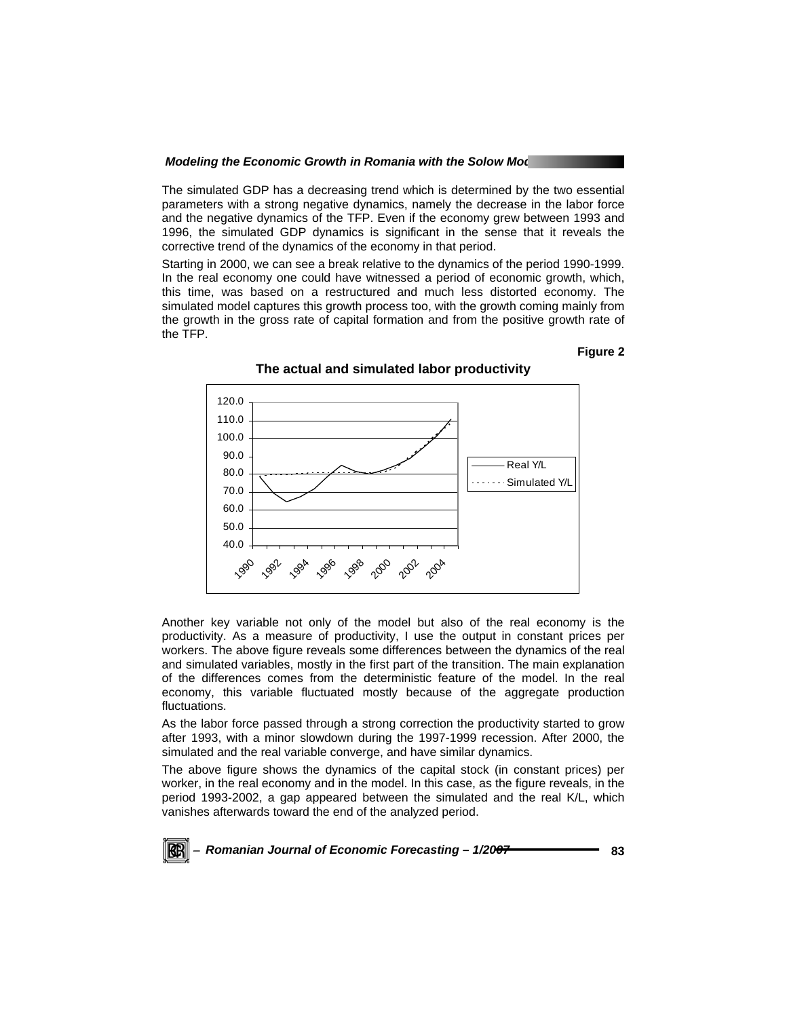The simulated GDP has a decreasing trend which is determined by the two essential parameters with a strong negative dynamics, namely the decrease in the labor force and the negative dynamics of the TFP. Even if the economy grew between 1993 and 1996, the simulated GDP dynamics is significant in the sense that it reveals the corrective trend of the dynamics of the economy in that period.

Starting in 2000, we can see a break relative to the dynamics of the period 1990-1999. In the real economy one could have witnessed a period of economic growth, which, this time, was based on a restructured and much less distorted economy. The simulated model captures this growth process too, with the growth coming mainly from the growth in the gross rate of capital formation and from the positive growth rate of the TFP.

#### **Figure 2**



**The actual and simulated labor productivity** 

Another key variable not only of the model but also of the real economy is the productivity. As a measure of productivity, I use the output in constant prices per workers. The above figure reveals some differences between the dynamics of the real and simulated variables, mostly in the first part of the transition. The main explanation of the differences comes from the deterministic feature of the model. In the real economy, this variable fluctuated mostly because of the aggregate production fluctuations.

As the labor force passed through a strong correction the productivity started to grow after 1993, with a minor slowdown during the 1997-1999 recession. After 2000, the simulated and the real variable converge, and have similar dynamics.

The above figure shows the dynamics of the capital stock (in constant prices) per worker, in the real economy and in the model. In this case, as the figure reveals, in the period 1993-2002, a gap appeared between the simulated and the real K/L, which vanishes afterwards toward the end of the analyzed period.

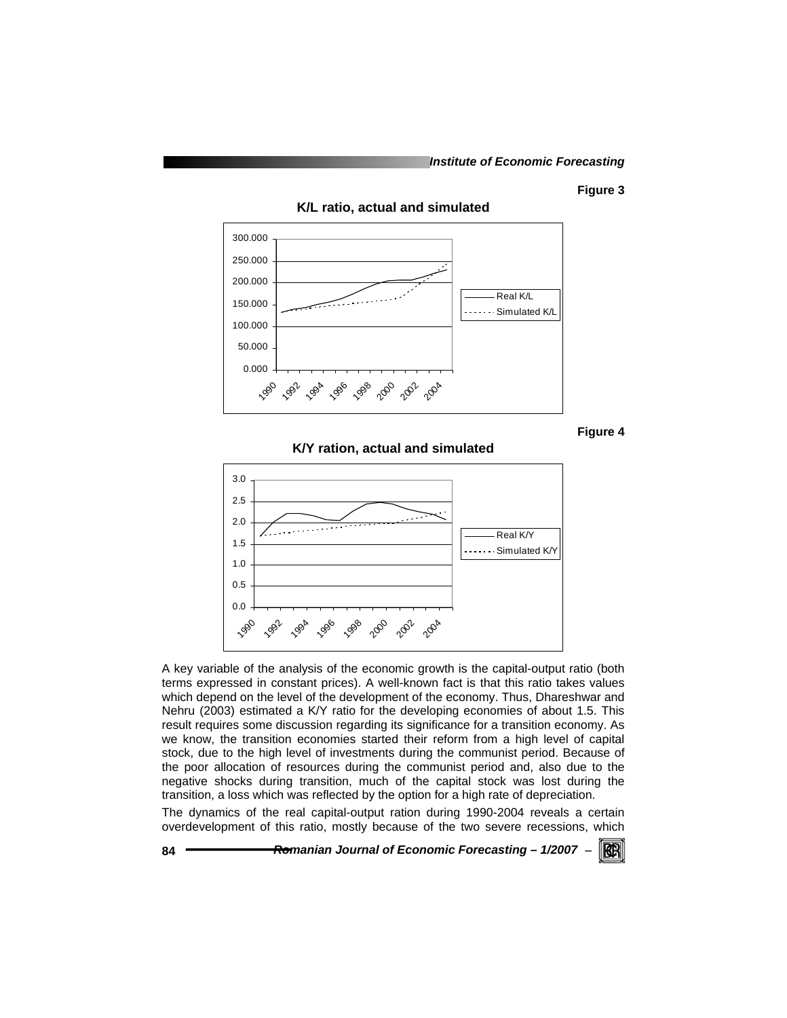# **Figure 3**



**K/L ratio, actual and simulated** 

**Figure 4** 

**K/Y ration, actual and simulated** 



A key variable of the analysis of the economic growth is the capital-output ratio (both terms expressed in constant prices). A well-known fact is that this ratio takes values which depend on the level of the development of the economy. Thus, Dhareshwar and Nehru (2003) estimated a K/Y ratio for the developing economies of about 1.5. This result requires some discussion regarding its significance for a transition economy. As we know, the transition economies started their reform from a high level of capital stock, due to the high level of investments during the communist period. Because of the poor allocation of resources during the communist period and, also due to the negative shocks during transition, much of the capital stock was lost during the transition, a loss which was reflected by the option for a high rate of depreciation.

The dynamics of the real capital-output ration during 1990-2004 reveals a certain overdevelopment of this ratio, mostly because of the two severe recessions, which

**84** *Romanian Journal of Economic Forecasting – 1/2007* <sup>−</sup>

KB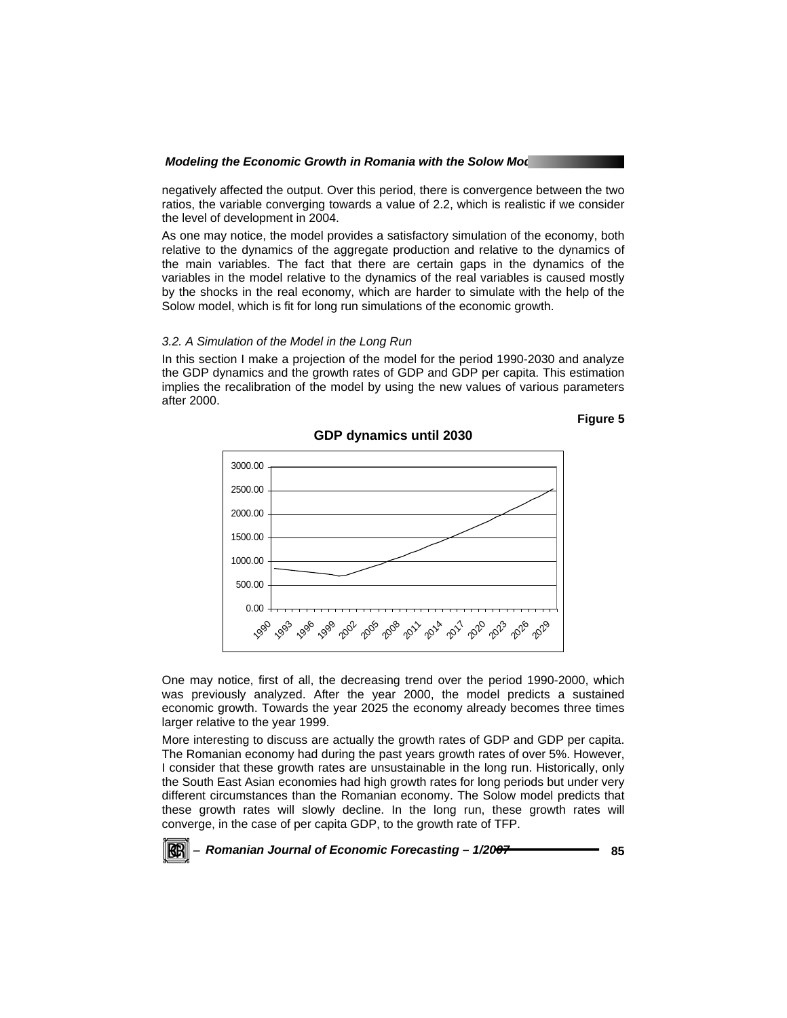negatively affected the output. Over this period, there is convergence between the two ratios, the variable converging towards a value of 2.2, which is realistic if we consider the level of development in 2004.

As one may notice, the model provides a satisfactory simulation of the economy, both relative to the dynamics of the aggregate production and relative to the dynamics of the main variables. The fact that there are certain gaps in the dynamics of the variables in the model relative to the dynamics of the real variables is caused mostly by the shocks in the real economy, which are harder to simulate with the help of the Solow model, which is fit for long run simulations of the economic growth.

#### *3.2. A Simulation of the Model in the Long Run*

In this section I make a projection of the model for the period 1990-2030 and analyze the GDP dynamics and the growth rates of GDP and GDP per capita. This estimation implies the recalibration of the model by using the new values of various parameters after 2000.

**Figure 5** 



**GDP dynamics until 2030** 

One may notice, first of all, the decreasing trend over the period 1990-2000, which was previously analyzed. After the year 2000, the model predicts a sustained economic growth. Towards the year 2025 the economy already becomes three times larger relative to the year 1999.

More interesting to discuss are actually the growth rates of GDP and GDP per capita. The Romanian economy had during the past years growth rates of over 5%. However, I consider that these growth rates are unsustainable in the long run. Historically, only the South East Asian economies had high growth rates for long periods but under very different circumstances than the Romanian economy. The Solow model predicts that these growth rates will slowly decline. In the long run, these growth rates will converge, in the case of per capita GDP, to the growth rate of TFP.

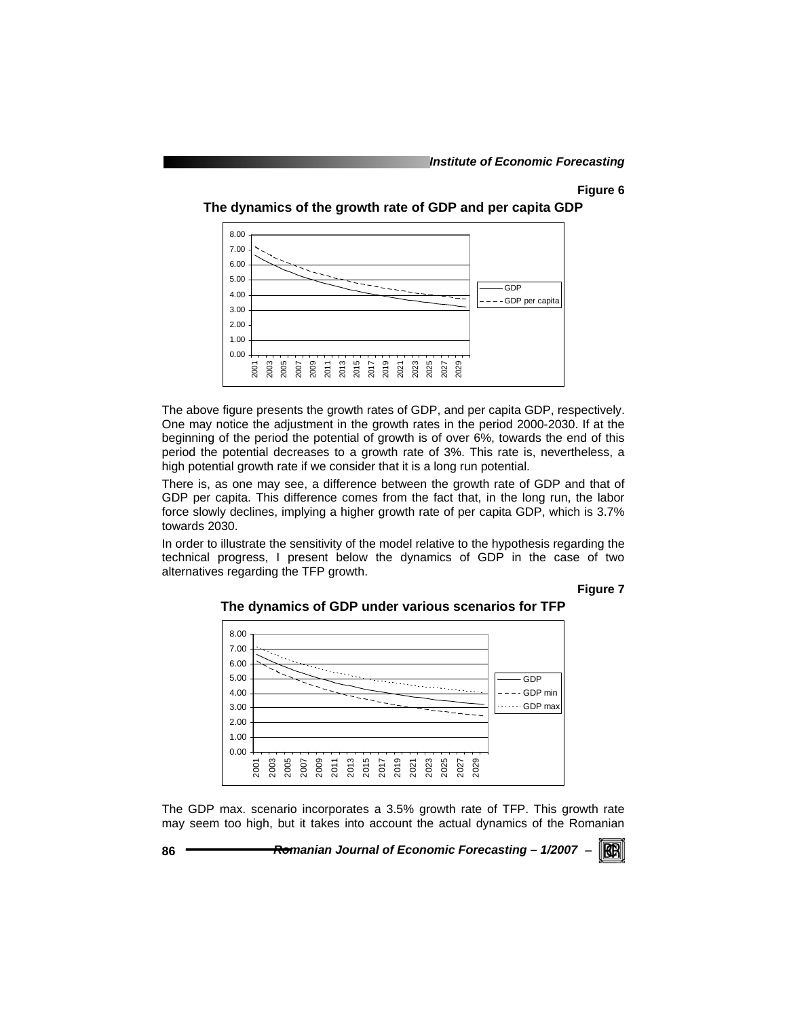# **Figure 6**





The above figure presents the growth rates of GDP, and per capita GDP, respectively. One may notice the adjustment in the growth rates in the period 2000-2030. If at the beginning of the period the potential of growth is of over 6%, towards the end of this period the potential decreases to a growth rate of 3%. This rate is, nevertheless, a high potential growth rate if we consider that it is a long run potential.

There is, as one may see, a difference between the growth rate of GDP and that of GDP per capita. This difference comes from the fact that, in the long run, the labor force slowly declines, implying a higher growth rate of per capita GDP, which is 3.7% towards 2030.

In order to illustrate the sensitivity of the model relative to the hypothesis regarding the technical progress, I present below the dynamics of GDP in the case of two alternatives regarding the TFP growth.

**Figure 7** 



**The dynamics of GDP under various scenarios for TFP** 

The GDP max. scenario incorporates a 3.5% growth rate of TFP. This growth rate may seem too high, but it takes into account the actual dynamics of the Romanian

**86** *Romanian Journal of Economic Forecasting – 1/2007* <sup>−</sup>

KB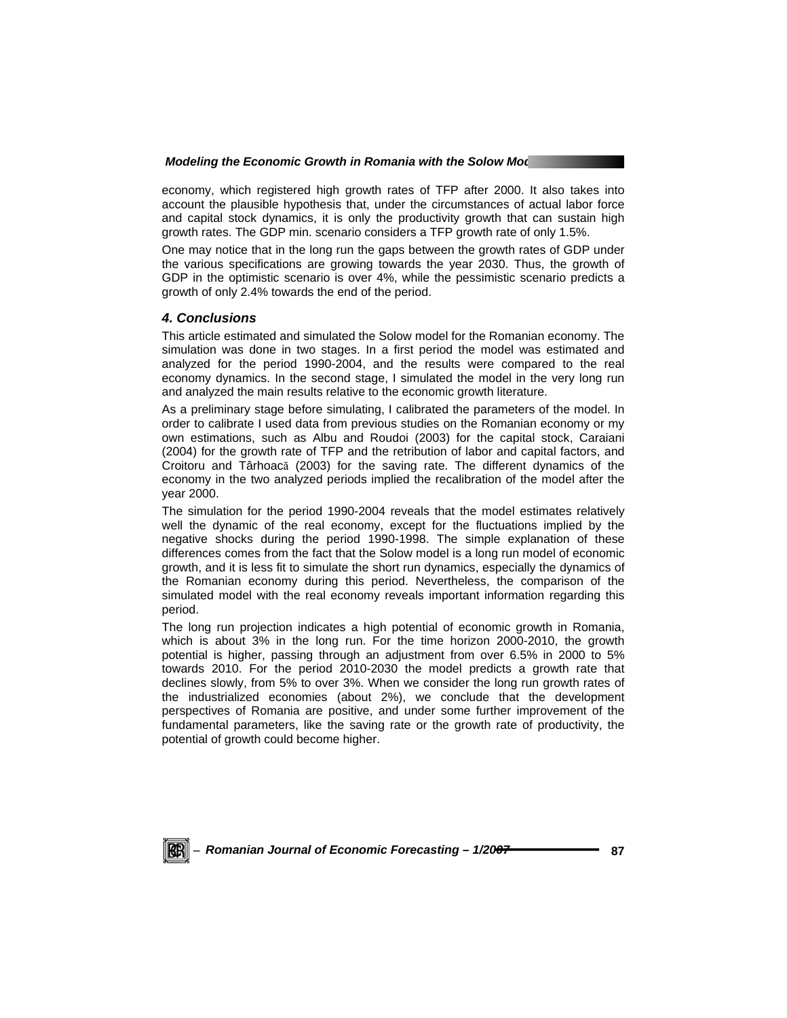economy, which registered high growth rates of TFP after 2000. It also takes into account the plausible hypothesis that, under the circumstances of actual labor force and capital stock dynamics, it is only the productivity growth that can sustain high growth rates. The GDP min. scenario considers a TFP growth rate of only 1.5%.

One may notice that in the long run the gaps between the growth rates of GDP under the various specifications are growing towards the year 2030. Thus, the growth of GDP in the optimistic scenario is over 4%, while the pessimistic scenario predicts a growth of only 2.4% towards the end of the period.

# *4. Conclusions*

This article estimated and simulated the Solow model for the Romanian economy. The simulation was done in two stages. In a first period the model was estimated and analyzed for the period 1990-2004, and the results were compared to the real economy dynamics. In the second stage, I simulated the model in the very long run and analyzed the main results relative to the economic growth literature.

As a preliminary stage before simulating, I calibrated the parameters of the model. In order to calibrate I used data from previous studies on the Romanian economy or my own estimations, such as Albu and Roudoi (2003) for the capital stock, Caraiani (2004) for the growth rate of TFP and the retribution of labor and capital factors, and Croitoru and Târhoacă (2003) for the saving rate. The different dynamics of the economy in the two analyzed periods implied the recalibration of the model after the year 2000.

The simulation for the period 1990-2004 reveals that the model estimates relatively well the dynamic of the real economy, except for the fluctuations implied by the negative shocks during the period 1990-1998. The simple explanation of these differences comes from the fact that the Solow model is a long run model of economic growth, and it is less fit to simulate the short run dynamics, especially the dynamics of the Romanian economy during this period. Nevertheless, the comparison of the simulated model with the real economy reveals important information regarding this period.

The long run projection indicates a high potential of economic growth in Romania, which is about 3% in the long run. For the time horizon 2000-2010, the growth potential is higher, passing through an adjustment from over 6.5% in 2000 to 5% towards 2010. For the period 2010-2030 the model predicts a growth rate that declines slowly, from 5% to over 3%. When we consider the long run growth rates of the industrialized economies (about 2%), we conclude that the development perspectives of Romania are positive, and under some further improvement of the fundamental parameters, like the saving rate or the growth rate of productivity, the potential of growth could become higher.